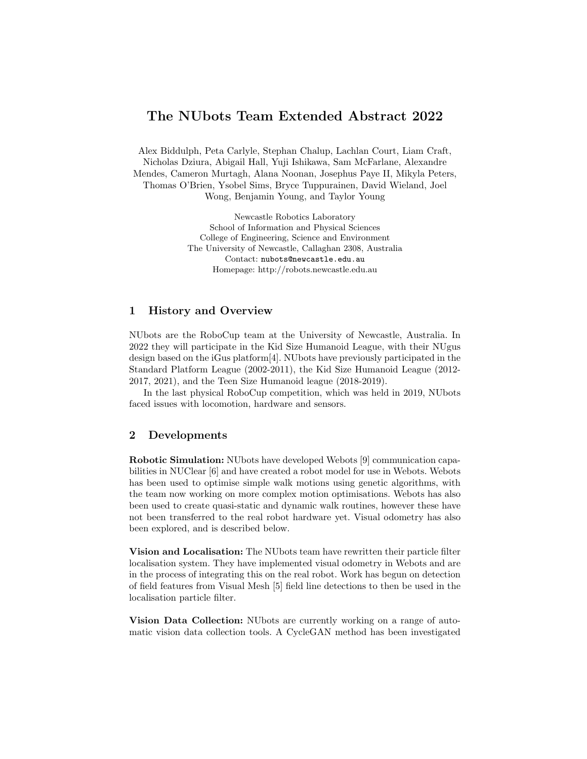## The NUbots Team Extended Abstract 2022

Alex Biddulph, Peta Carlyle, Stephan Chalup, Lachlan Court, Liam Craft, Nicholas Dziura, Abigail Hall, Yuji Ishikawa, Sam McFarlane, Alexandre Mendes, Cameron Murtagh, Alana Noonan, Josephus Paye II, Mikyla Peters, Thomas O'Brien, Ysobel Sims, Bryce Tuppurainen, David Wieland, Joel Wong, Benjamin Young, and Taylor Young

> Newcastle Robotics Laboratory School of Information and Physical Sciences College of Engineering, Science and Environment The University of Newcastle, Callaghan 2308, Australia Contact: nubots@newcastle.edu.au Homepage: http://robots.newcastle.edu.au

## 1 History and Overview

NUbots are the RoboCup team at the University of Newcastle, Australia. In 2022 they will participate in the Kid Size Humanoid League, with their NUgus design based on the iGus platform[4]. NUbots have previously participated in the Standard Platform League (2002-2011), the Kid Size Humanoid League (2012- 2017, 2021), and the Teen Size Humanoid league (2018-2019).

In the last physical RoboCup competition, which was held in 2019, NUbots faced issues with locomotion, hardware and sensors.

## 2 Developments

Robotic Simulation: NUbots have developed Webots [9] communication capabilities in NUClear [6] and have created a robot model for use in Webots. Webots has been used to optimise simple walk motions using genetic algorithms, with the team now working on more complex motion optimisations. Webots has also been used to create quasi-static and dynamic walk routines, however these have not been transferred to the real robot hardware yet. Visual odometry has also been explored, and is described below.

Vision and Localisation: The NUbots team have rewritten their particle filter localisation system. They have implemented visual odometry in Webots and are in the process of integrating this on the real robot. Work has begun on detection of field features from Visual Mesh [5] field line detections to then be used in the localisation particle filter.

Vision Data Collection: NUbots are currently working on a range of automatic vision data collection tools. A CycleGAN method has been investigated